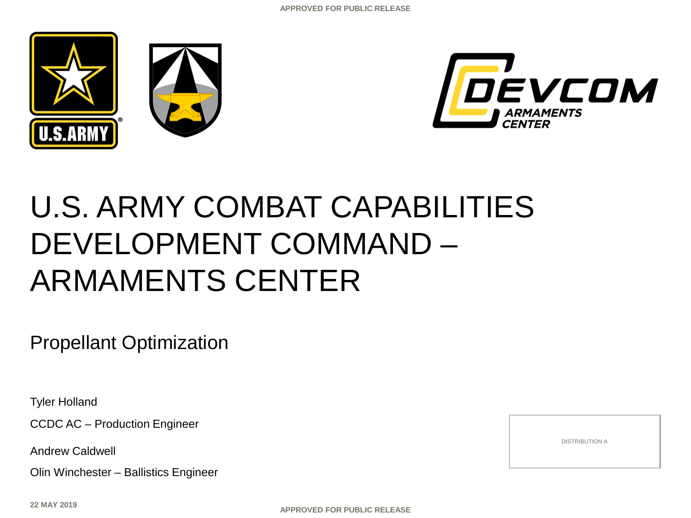



# U.S. ARMY COMBAT CAPABILITIES DEVELOPMENT COMMAND – ARMAMENTS CENTER

Propellant Optimization

Tyler Holland

CCDC AC – Production Engineer

Andrew Caldwell

Olin Winchester – Ballistics Engineer

**22 MAY 2019**

**APPROVED FOR PUBLIC RELEASE**

DISTRIBUTION A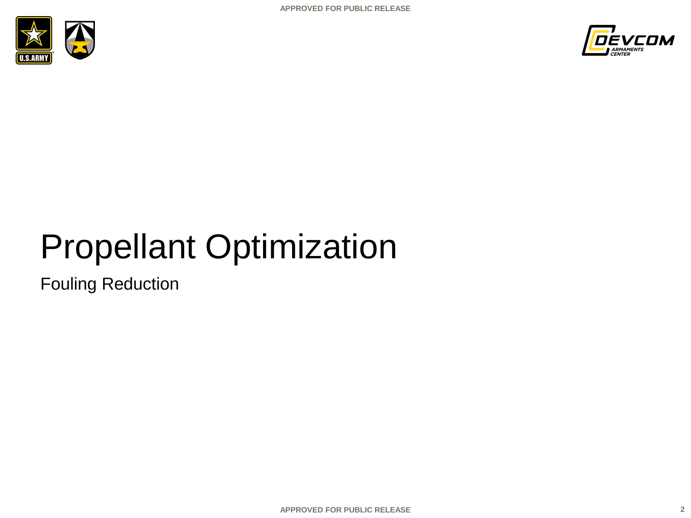



# Propellant Optimization

Fouling Reduction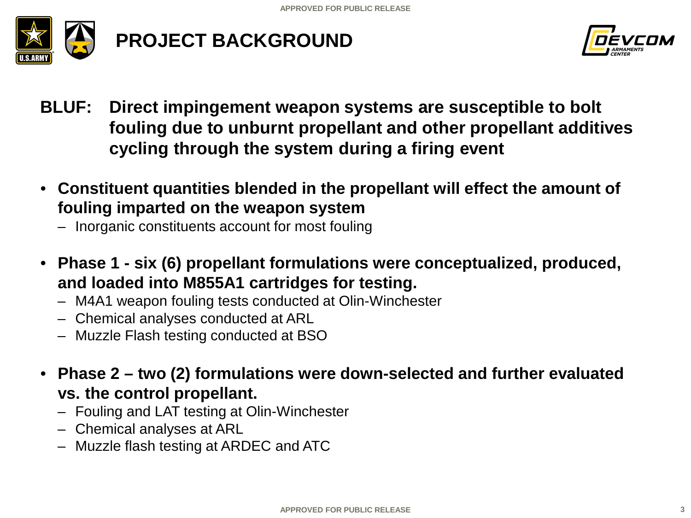

## **PROJECT BACKGROUND**



- **BLUF: Direct impingement weapon systems are susceptible to bolt fouling due to unburnt propellant and other propellant additives cycling through the system during a firing event**
- **Constituent quantities blended in the propellant will effect the amount of fouling imparted on the weapon system**
	- Inorganic constituents account for most fouling
- **Phase 1 - six (6) propellant formulations were conceptualized, produced, and loaded into M855A1 cartridges for testing.**
	- M4A1 weapon fouling tests conducted at Olin-Winchester
	- Chemical analyses conducted at ARL
	- Muzzle Flash testing conducted at BSO
- **Phase 2 – two (2) formulations were down-selected and further evaluated vs. the control propellant.**
	- Fouling and LAT testing at Olin-Winchester
	- Chemical analyses at ARL
	- Muzzle flash testing at ARDEC and ATC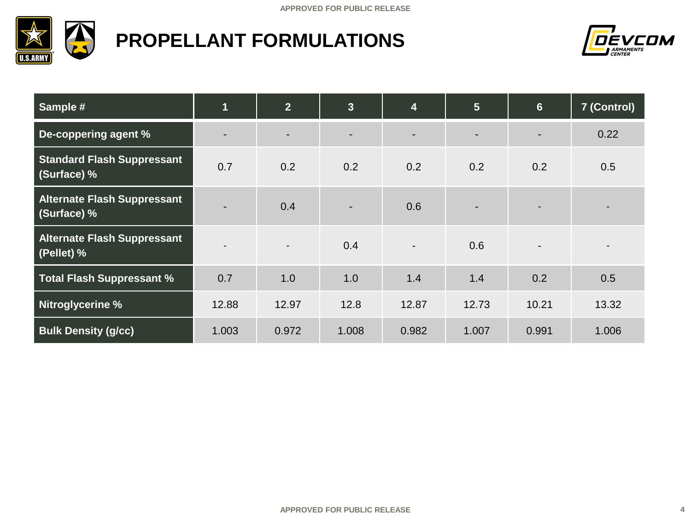

## **PROPELLANT FORMULATIONS**



| Sample #                                          | $\overline{\mathbf{1}}$  | 2 <sup>1</sup> | $\overline{\mathbf{3}}$ | $\overline{\mathbf{4}}$  | $5\phantom{1}$ | 6 <sup>1</sup> | 7 (Control) |
|---------------------------------------------------|--------------------------|----------------|-------------------------|--------------------------|----------------|----------------|-------------|
| De-coppering agent %                              | $\overline{\phantom{0}}$ |                |                         | -                        |                |                | 0.22        |
| <b>Standard Flash Suppressant</b><br>(Surface) %  | 0.7                      | 0.2            | 0.2                     | 0.2                      | 0.2            | 0.2            | 0.5         |
| <b>Alternate Flash Suppressant</b><br>(Surface) % |                          | 0.4            | $\blacksquare$          | 0.6                      |                |                |             |
| <b>Alternate Flash Suppressant</b><br>(Pellet) %  |                          | $\blacksquare$ | 0.4                     | $\overline{\phantom{a}}$ | 0.6            |                |             |
| <b>Total Flash Suppressant %</b>                  | 0.7                      | 1.0            | 1.0                     | 1.4                      | 1.4            | 0.2            | 0.5         |
| Nitroglycerine %                                  | 12.88                    | 12.97          | 12.8                    | 12.87                    | 12.73          | 10.21          | 13.32       |
| <b>Bulk Density (g/cc)</b>                        | 1.003                    | 0.972          | 1.008                   | 0.982                    | 1.007          | 0.991          | 1.006       |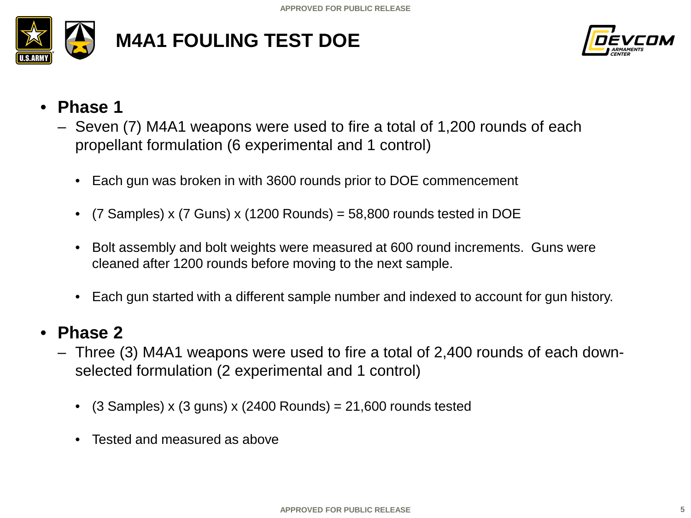

## **M4A1 FOULING TEST DOE**



- **Phase 1**
	- Seven (7) M4A1 weapons were used to fire a total of 1,200 rounds of each propellant formulation (6 experimental and 1 control)
		- Each gun was broken in with 3600 rounds prior to DOE commencement
		- $(7$  Samples) x  $(7$  Guns) x  $(1200$  Rounds) = 58,800 rounds tested in DOE
		- Bolt assembly and bolt weights were measured at 600 round increments. Guns were cleaned after 1200 rounds before moving to the next sample.
		- Each gun started with a different sample number and indexed to account for gun history.

#### • **Phase 2**

- Three (3) M4A1 weapons were used to fire a total of 2,400 rounds of each downselected formulation (2 experimental and 1 control)
	- $(3$  Samples) x  $(3$  guns) x  $(2400$  Rounds) = 21,600 rounds tested
	- Tested and measured as above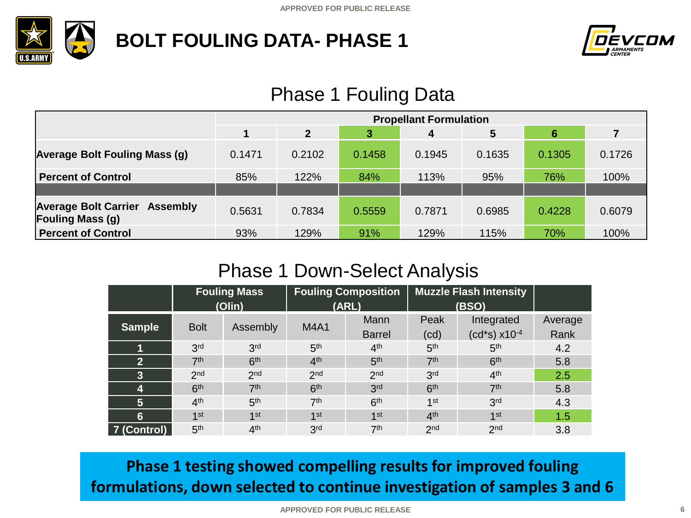

## **BOLT FOULING DATA- PHASE 1**



## Phase 1 Fouling Data

|                                                                 | <b>Propellant Formulation</b> |              |        |        |        |        |        |  |
|-----------------------------------------------------------------|-------------------------------|--------------|--------|--------|--------|--------|--------|--|
|                                                                 |                               | $\mathbf{2}$ | 3      | 4      | 5      | 6      |        |  |
| <b>Average Bolt Fouling Mass (g)</b>                            | 0.1471                        | 0.2102       | 0.1458 | 0.1945 | 0.1635 | 0.1305 | 0.1726 |  |
| <b>Percent of Control</b>                                       | 85%                           | 122%         | 84%    | 113%   | 95%    | 76%    | 100%   |  |
|                                                                 |                               |              |        |        |        |        |        |  |
| <b>Average Bolt Carrier Assembly</b><br><b>Fouling Mass (g)</b> | 0.5631                        | 0.7834       | 0.5559 | 0.7871 | 0.6985 | 0.4228 | 0.6079 |  |
| <b>Percent of Control</b>                                       | 93%                           | 129%         | 91%    | 129%   | 115%   | 70%    | 100%   |  |

### Phase 1 Down-Select Analysis

|                         | <b>Fouling Mass</b>          |                 | <b>Fouling Composition</b> |                 | <b>Muzzle Flash Intensity</b> |                            |         |
|-------------------------|------------------------------|-----------------|----------------------------|-----------------|-------------------------------|----------------------------|---------|
|                         | (Olin)                       |                 | (ARL)                      |                 | (BSO)                         |                            |         |
|                         |                              |                 | <b>M4A1</b>                | Mann            | Peak                          | Integrated                 | Average |
|                         | <b>Bolt</b><br><b>Sample</b> | Assembly        |                            | <b>Barrel</b>   | (cd)                          | $(cd*s)$ x10 <sup>-4</sup> | Rank    |
|                         | 3 <sup>rd</sup>              | 3 <sup>rd</sup> | 5 <sup>th</sup>            | 4 <sup>th</sup> | 5 <sup>th</sup>               | 5 <sup>th</sup>            | 4.2     |
| $\overline{2}$          | 7 <sup>th</sup>              | 6 <sup>th</sup> | 4 <sup>th</sup>            | 5 <sup>th</sup> | 7 <sup>th</sup>               | 6 <sup>th</sup>            | 5.8     |
| $\overline{\mathbf{3}}$ | 2 <sub>nd</sub>              | 2 <sub>nd</sub> | 2 <sub>nd</sub>            | 2 <sub>nd</sub> | 3 <sup>rd</sup>               | 4 <sup>th</sup>            | 2.5     |
| 4                       | 6 <sup>th</sup>              | 7 <sup>th</sup> | 6 <sup>th</sup>            | 3 <sub>rd</sub> | 6 <sup>th</sup>               | 7 <sup>th</sup>            | 5.8     |
| 5                       | 4 <sup>th</sup>              | 5 <sup>th</sup> | 7 <sup>th</sup>            | 6 <sup>th</sup> | 1 <sup>st</sup>               | 3 <sup>rd</sup>            | 4.3     |
| 6                       | 1st                          | 1st             | 1st                        | 1st             | 4 <sup>th</sup>               | 1 <sup>st</sup>            | 1.5     |
| 7 (Control)             | 5 <sup>th</sup>              | 4 <sup>th</sup> | 3 <sup>rd</sup>            | 7 <sup>th</sup> | 2 <sub>nd</sub>               | 2 <sub>nd</sub>            | 3.8     |

**Phase 1 testing showed compelling results for improved fouling formulations, down selected to continue investigation of samples 3 and 6**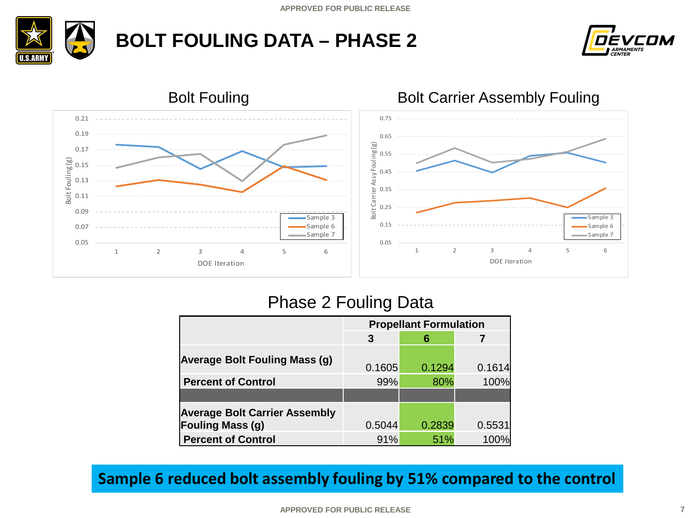





#### Phase 2 Fouling Data

|                                      | <b>Propellant Formulation</b> |        |        |  |  |  |
|--------------------------------------|-------------------------------|--------|--------|--|--|--|
|                                      | 3                             | 6      |        |  |  |  |
| <b>Average Bolt Fouling Mass (g)</b> | 0.1605                        | 0.1294 | 0.1614 |  |  |  |
| <b>Percent of Control</b>            | 99%                           | 80%    | 100%   |  |  |  |
|                                      |                               |        |        |  |  |  |
| <b>Average Bolt Carrier Assembly</b> |                               |        |        |  |  |  |
| <b>Fouling Mass (g)</b>              | 0.5044                        | 0.2839 | 0.5531 |  |  |  |
| <b>Percent of Control</b>            | 91%                           | 51%    | 100%   |  |  |  |

#### **Sample 6 reduced bolt assembly fouling by 51% compared to the control**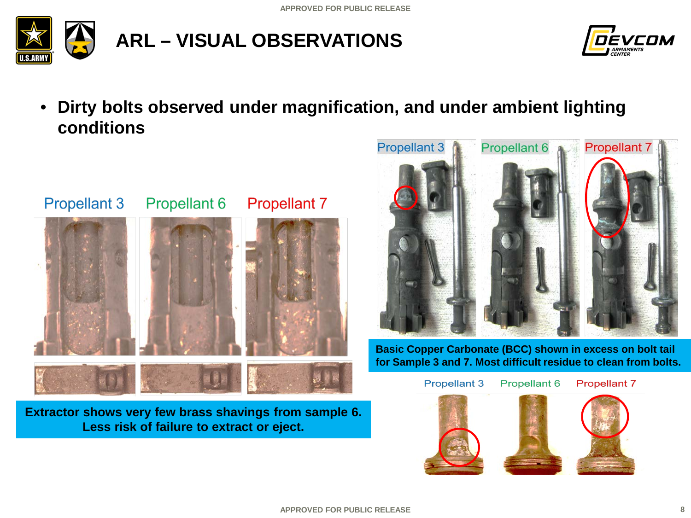



• **Dirty bolts observed under magnification, and under ambient lighting conditions**



**Extractor shows very few brass shavings from sample 6. Less risk of failure to extract or eject.**



**Basic Copper Carbonate (BCC) shown in excess on bolt tail for Sample 3 and 7. Most difficult residue to clean from bolts.**

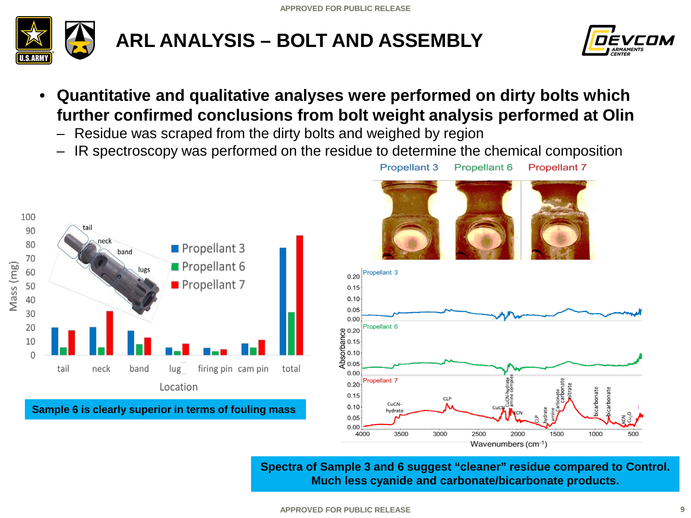

## **ARL ANALYSIS – BOLT AND ASSEMBLY**



- **Quantitative and qualitative analyses were performed on dirty bolts which further confirmed conclusions from bolt weight analysis performed at Olin**
	- Residue was scraped from the dirty bolts and weighed by region
	- IR spectroscopy was performed on the residue to determine the chemical composition



**Sample 6 is clearly superior in terms of fouling mass**





**Spectra of Sample 3 and 6 suggest "cleaner" residue compared to Control. Much less cyanide and carbonate/bicarbonate products.**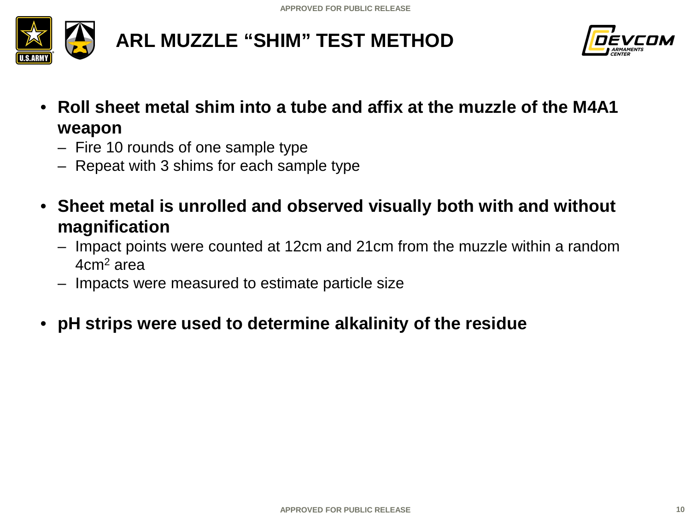

## **ARL MUZZLE "SHIM" TEST METHOD**



- **Roll sheet metal shim into a tube and affix at the muzzle of the M4A1 weapon**
	- Fire 10 rounds of one sample type
	- Repeat with 3 shims for each sample type
- **Sheet metal is unrolled and observed visually both with and without magnification**
	- Impact points were counted at 12cm and 21cm from the muzzle within a random 4cm2 area
	- Impacts were measured to estimate particle size
- **pH strips were used to determine alkalinity of the residue**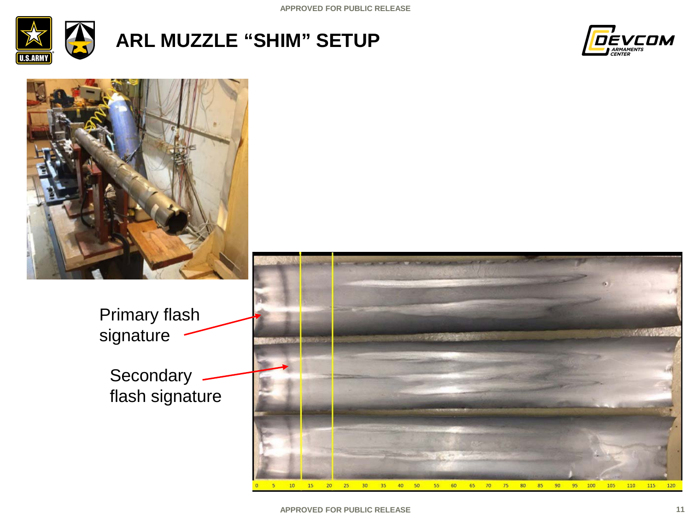

## **ARL MUZZLE "SHIM" SETUP**



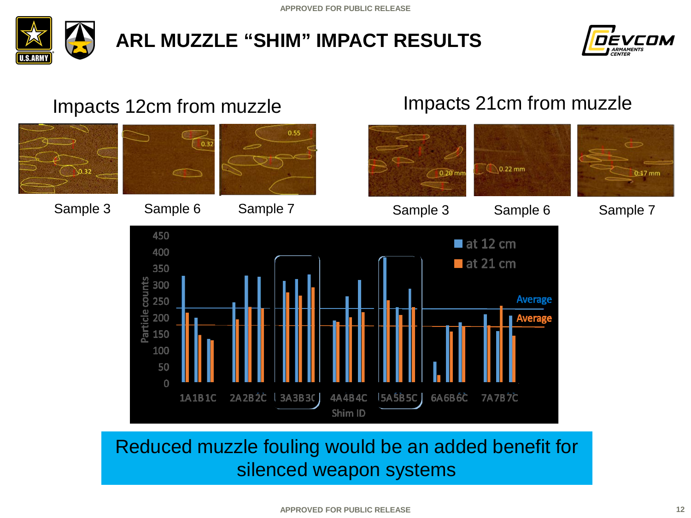

## **ARL MUZZLE "SHIM" IMPACT RESULTS**



Impacts 21cm from muzzle

#### Impacts 12cm from muzzle

 $0.55$  $0.32$  $\bigcirc$  0.22 mm  $0.20$  mn  $0.17$  mm Sample 3 Sample 6 Sample 7 Sample 3 Sample 6 Sample 7 450  $\blacksquare$  at 12 cm 400  $\blacksquare$  at 21 cm 350 Particle counts 300 **Average** 250 200 Average 150 100 50  $\Omega$ 2A2B2C | 3A3B3C | 1A1B1C 4A4B4C **5A5B5C** 6A6B6C **7A7B7C** Shim ID

## Reduced muzzle fouling would be an added benefit for silenced weapon systems

#### **APPROVED FOR PUBLIC RELEASE**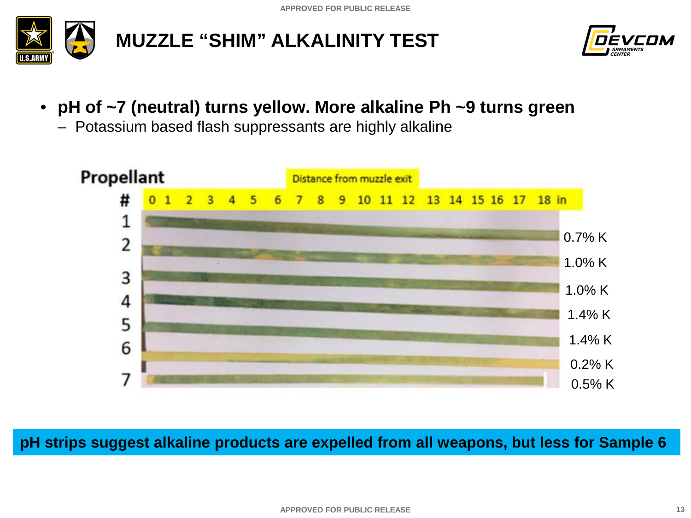



- **pH of ~7 (neutral) turns yellow. More alkaline Ph ~9 turns green**
	- Potassium based flash suppressants are highly alkaline



**pH strips suggest alkaline products are expelled from all weapons, but less for Sample 6**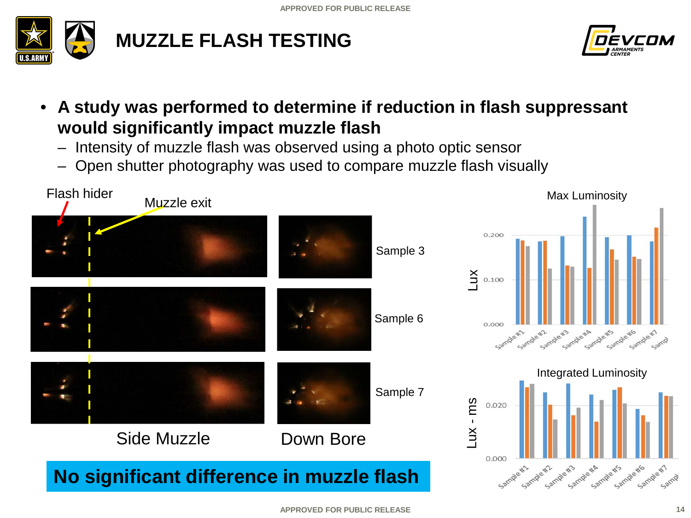

## **MUZZLE FLASH TESTING**



- **A study was performed to determine if reduction in flash suppressant would significantly impact muzzle flash**
	- Intensity of muzzle flash was observed using a photo optic sensor
	- Open shutter photography was used to compare muzzle flash visually

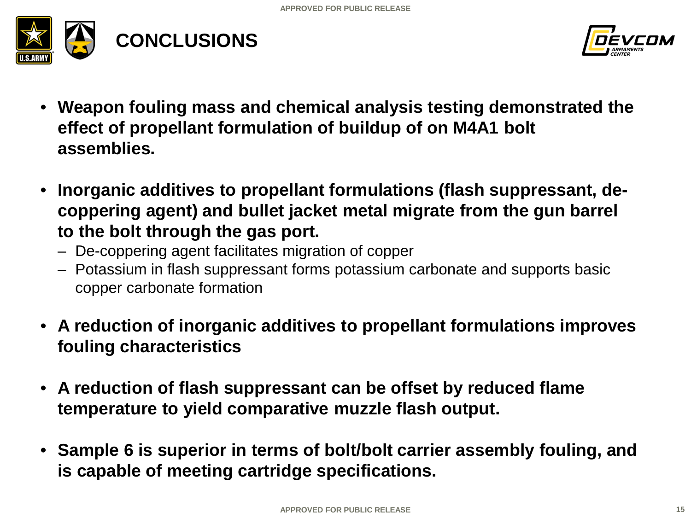



- **Weapon fouling mass and chemical analysis testing demonstrated the effect of propellant formulation of buildup of on M4A1 bolt assemblies.**
- **Inorganic additives to propellant formulations (flash suppressant, decoppering agent) and bullet jacket metal migrate from the gun barrel to the bolt through the gas port.**
	- De-coppering agent facilitates migration of copper
	- Potassium in flash suppressant forms potassium carbonate and supports basic copper carbonate formation
- **A reduction of inorganic additives to propellant formulations improves fouling characteristics**
- **A reduction of flash suppressant can be offset by reduced flame temperature to yield comparative muzzle flash output.**
- **Sample 6 is superior in terms of bolt/bolt carrier assembly fouling, and is capable of meeting cartridge specifications.**